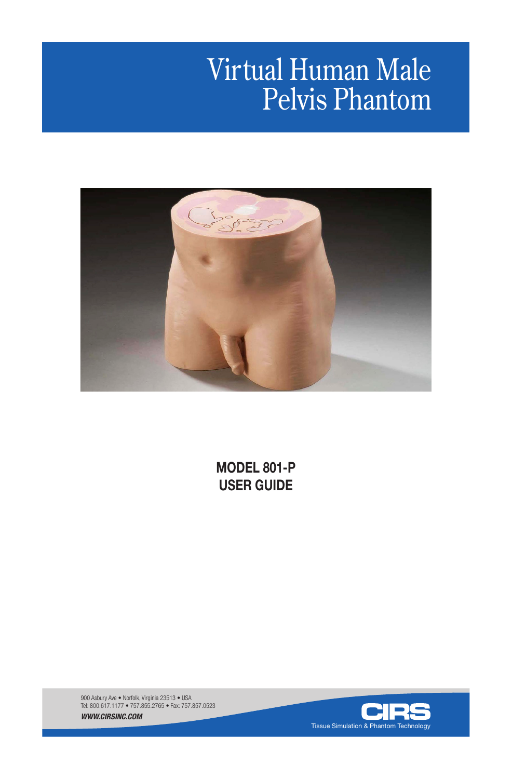# Virtual Human Male Pelvis Phantom



**MODEL 801-P USER GUIDE**

900 Asbury Ave • Norfolk, Virginia 23513 • USA Tel: 800.617.1177 • 757.855.2765 • Fax: 757.857.0523 *WWW.CIRSINC.COM*

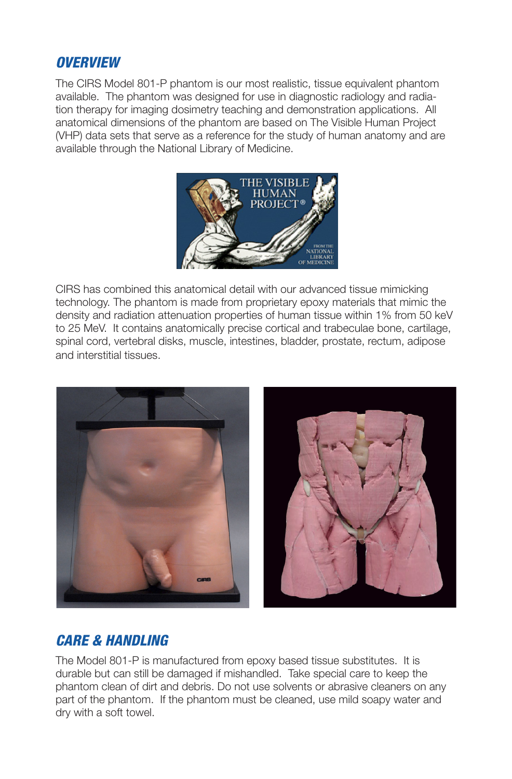## *OVERVIEW*

The CIRS Model 801-P phantom is our most realistic, tissue equivalent phantom available. The phantom was designed for use in diagnostic radiology and radiation therapy for imaging dosimetry teaching and demonstration applications. All anatomical dimensions of the phantom are based on The Visible Human Project (VHP) data sets that serve as a reference for the study of human anatomy and are available through the National Library of Medicine.



CIRS has combined this anatomical detail with our advanced tissue mimicking technology. The phantom is made from proprietary epoxy materials that mimic the density and radiation attenuation properties of human tissue within 1% from 50 keV to 25 MeV. It contains anatomically precise cortical and trabeculae bone, cartilage, spinal cord, vertebral disks, muscle, intestines, bladder, prostate, rectum, adipose and interstitial tissues.



# *CARE & HANDLING*

The Model 801-P is manufactured from epoxy based tissue substitutes. It is durable but can still be damaged if mishandled. Take special care to keep the phantom clean of dirt and debris. Do not use solvents or abrasive cleaners on any part of the phantom. If the phantom must be cleaned, use mild soapy water and dry with a soft towel.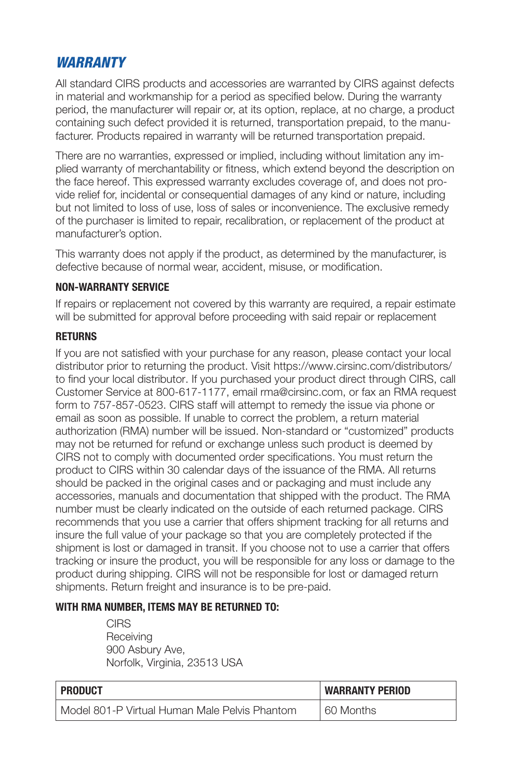# *WARRANTY*

All standard CIRS products and accessories are warranted by CIRS against defects in material and workmanship for a period as specified below. During the warranty period, the manufacturer will repair or, at its option, replace, at no charge, a product containing such defect provided it is returned, transportation prepaid, to the manufacturer. Products repaired in warranty will be returned transportation prepaid.

There are no warranties, expressed or implied, including without limitation any implied warranty of merchantability or fitness, which extend beyond the description on the face hereof. This expressed warranty excludes coverage of, and does not provide relief for, incidental or consequential damages of any kind or nature, including but not limited to loss of use, loss of sales or inconvenience. The exclusive remedy of the purchaser is limited to repair, recalibration, or replacement of the product at manufacturer's option.

This warranty does not apply if the product, as determined by the manufacturer, is defective because of normal wear, accident, misuse, or modification.

#### **NON-WARRANTY SERVICE**

If repairs or replacement not covered by this warranty are required, a repair estimate will be submitted for approval before proceeding with said repair or replacement

#### **RETURNS**

If you are not satisfied with your purchase for any reason, please contact your local distributor prior to returning the product. Visit https://www.cirsinc.com/distributors/ to find your local distributor. If you purchased your product direct through CIRS, call Customer Service at 800-617-1177, email rma@cirsinc.com, or fax an RMA request form to 757-857-0523. CIRS staff will attempt to remedy the issue via phone or email as soon as possible. If unable to correct the problem, a return material authorization (RMA) number will be issued. Non-standard or "customized" products may not be returned for refund or exchange unless such product is deemed by CIRS not to comply with documented order specifications. You must return the product to CIRS within 30 calendar days of the issuance of the RMA. All returns should be packed in the original cases and or packaging and must include any accessories, manuals and documentation that shipped with the product. The RMA number must be clearly indicated on the outside of each returned package. CIRS recommends that you use a carrier that offers shipment tracking for all returns and insure the full value of your package so that you are completely protected if the shipment is lost or damaged in transit. If you choose not to use a carrier that offers tracking or insure the product, you will be responsible for any loss or damage to the product during shipping. CIRS will not be responsible for lost or damaged return shipments. Return freight and insurance is to be pre-paid.

#### **WITH RMA NUMBER, ITEMS MAY BE RETURNED TO:**

CIRS **Receiving** 900 Asbury Ave, Norfolk, Virginia, 23513 USA

| <b>PRODUCT</b>                                  | <b>WARRANTY PERIOD</b> |
|-------------------------------------------------|------------------------|
| l Model 801-P Virtual Human Male Pelvis Phantom | 60 Months              |